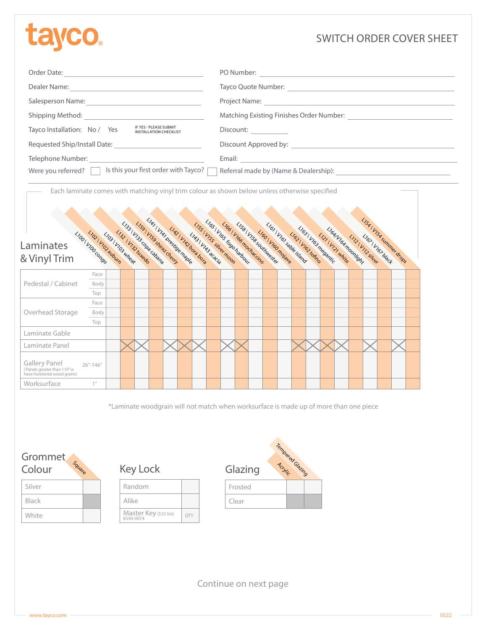# **ta**

# SWITCH ORDER COVER SHEET

| Order Date:                                                                             | PO Number:                                                                                                                                                                                                                     |
|-----------------------------------------------------------------------------------------|--------------------------------------------------------------------------------------------------------------------------------------------------------------------------------------------------------------------------------|
| Dealer Name:                                                                            | Tayco Quote Number:                                                                                                                                                                                                            |
| Salesperson Name:                                                                       |                                                                                                                                                                                                                                |
| Shipping Method:                                                                        |                                                                                                                                                                                                                                |
| IF YES - PLEASE SUBMIT<br>Tayco Installation: No / Yes<br><b>INSTALLATION CHECKLIST</b> | Discount:                                                                                                                                                                                                                      |
| Requested Ship/Install Date:                                                            | Discount Approved by: Note that the set of the set of the set of the set of the set of the set of the set of the set of the set of the set of the set of the set of the set of the set of the set of the set of the set of the |
| Telephone Number:                                                                       | Email:                                                                                                                                                                                                                         |
| Is this your first order with Tayco? [<br>Were you referred?                            | Referral made by (Name & Dealership):                                                                                                                                                                                          |

Each laminate comes with matching vinyl trim colour as shown below unless otherwise specified



\*Laminate woodgrain will not match when worksurface is made up of more than one piece



| Silver |  |
|--------|--|
| Black  |  |
| White  |  |



| Random                              |     |  |
|-------------------------------------|-----|--|
| Alike                               |     |  |
| Master Key (\$33 list)<br>8540-0074 | OTY |  |



Continue on next page